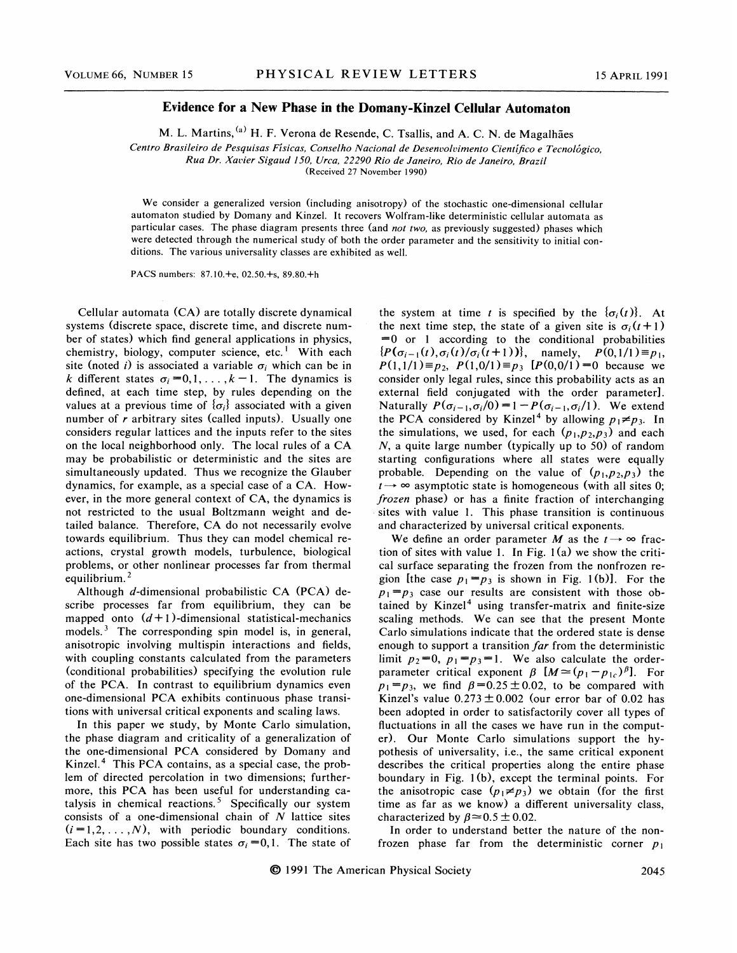## Evidence for a New Phase in the Domany-Kinzel Cellular Automaton

M. L. Martins, <sup>(a)</sup> H. F. Verona de Resende, C. Tsallis, and A. C. N. de Magalhães

Centro Brasileiro de Pesquisas Fisicas, Conselho Nacional de Desenvolvimento Cientifico e Tecnologico,

Rua Dr. Xavier Sigaud 150, Urea, 22290 Rio de Janeiro, Rio de Janeiro, Brazil

(Received 27 November 1990)

We consider a generalized version (including anisotropy) of the stochastic one-dimensional cellular automaton studied by Domany and Kinzel. It recovers Wolfram-like deterministic cellular automata as particular cases. The phase diagram presents three (and not two, as previously suggested) phases which were detected through the numerical study of both the order parameter and the sensitivity to initial conditions. The various universality classes are exhibited as well.

PACS numbers: 87.10.+e, 02.50.+s, 89.80.+h

Cellular automata (CA) are totally discrete dynamical systems (discrete space, discrete time, and discrete number of states) which find general applications in physics, chemistry, biology, computer science, etc.<sup>1</sup> With each site (noted i) is associated a variable  $\sigma_i$  which can be in k different states  $\sigma_i = 0, 1, \ldots, k - 1$ . The dynamics is defined, at each time step, by rules depending on the values at a previous time of  $\{\sigma_i\}$  associated with a given number of  $r$  arbitrary sites (called inputs). Usually one considers regular lattices and the inputs refer to the sites on the local neighborhood only. The local rules of a CA may be probabilistic or deterministic and the sites are simultaneously updated. Thus we recognize the Glauber dynamics, for example, as a special case of a CA. However, in the more general context of CA, the dynamics is not restricted to the usual Boltzmann weight and detailed balance. Therefore, CA do not necessarily evolve towards equilibrium. Thus they can model chemical reactions, crystal growth models, turbulence, biological problems, or other nonlinear processes far from thermal equilibrium.

Although d-dimensional probabilistic CA (PCA) describe processes far from equilibrium, they can be mapped onto  $(d+1)$ -dimensional statistical-mechanics models. $3$  The corresponding spin model is, in general, anisotropic involving multispin interactions and fields, with coupling constants calculated from the parameters (conditional probabilities) specifying the evolution rule of the PCA. In contrast to equilibrium dynamics even one-dimensional PCA exhibits continuous phase transitions with universal critical exponents and scaling laws.

In this paper we study, by Monte Carlo simulation, the phase diagram and criticality of a generalization of the one-dimensional PCA considered by Domany and Kinzel.<sup>4</sup> This PCA contains, as a special case, the problem of directed percolation in two dimensions; furthermore, this PCA has been useful for understanding catalysis in chemical reactions.<sup>5</sup> Specifically our system consists of a one-dimensional chain of  $N$  lattice sites  $(i = 1, 2, \ldots, N)$ , with periodic boundary conditions. Each site has two possible states  $\sigma_i = 0, 1$ . The state of

the system at time t is specified by the  $\{\sigma_i(t)\}\$ . At the next time step, the state of a given site is  $\sigma_i(t+1)$  $=0$  or 1 according to the conditional probabilities he system at time t is specified by the  $\{\sigma_i(t)\}$ . At<br>he next time step, the state of a given site is  $\sigma_i(t+1)$ <br>=0 or 1 according to the conditional probabilities<br> $P(\sigma_{i-1}(t), \sigma_i(t)/\sigma_i(t+1))\}$ , namely,  $P(0, 1/1) \equiv p_1$ ,<br> $P(1$ The next time step, the state of a given site is  $\sigma_i(t+1)$ <br>  $=0$  or 1 according to the conditional probabilities<br>  $\{P(\sigma_{i-1}(t), \sigma_i(t)/\sigma_i(t+1))\}$ , namely,  $P(0,1/1) \equiv p_1$ ,<br>  $P(1,1/1) \equiv p_2$ ,  $P(1,0/1) \equiv p_3$   $[P(0,0/1) = 0$  beca consider only legal rules, since this probability acts as an external field conjugated with the order parameter]. Naturally  $P(\sigma_{i-1}, \sigma_i/0) = 1 - P(\sigma_{i-1}, \sigma_i/1)$ . We extend the PCA considered by Kinzel<sup>4</sup> by allowing  $p_1 \neq p_3$ . In the simulations, we used, for each  $(p_1, p_2, p_3)$  and each  $N$ , a quite large number (typically up to 50) of random starting configurations where all states were equally probable. Depending on the value of  $(p_1, p_2, p_3)$  the  $t \rightarrow \infty$  asymptotic state is homogeneous (with all sites 0; frozen phase) or has a finite fraction of interchanging sites with value 1. This phase transition is continuous and characterized by universal critical exponents.

We define an order parameter M as the  $t \rightarrow \infty$  fraction of sites with value 1. In Fig.  $1(a)$  we show the critical surface separating the frozen from the nonfrozen region [the case  $p_1 = p_3$  is shown in Fig. 1(b)]. For the  $p_1 = p_3$  case our results are consistent with those obtained by Kinzel<sup>4</sup> using transfer-matrix and finite-size scaling methods. We can see that the present Monte Carlo simulations indicate that the ordered state is dense enough to support a transition far from the deterministic limit  $p_2=0$ ,  $p_1=p_3=1$ . We also calculate the orderparameter critical exponent  $\beta$   $[M=(p_1-p_{1c})^{\beta}]$ . For  $p_1 = p_3$ , we find  $\beta = 0.25 \pm 0.02$ , to be compared with Kinzel's value  $0.273 \pm 0.002$  (our error bar of 0.02 has been adopted in order to satisfactorily cover all types of fluctuations in all the cases we have run in the computer). Our Monte Carlo simulations support the hypothesis of universality, i.e., the same critical exponent describes the critical properties along the entire phase boundary in Fig. 1(b), except the terminal points. For the anisotropic case  $(p_1 \neq p_3)$  we obtain (for the first time as far as we know) a different universality class, characterized by  $\beta \approx 0.5 \pm 0.02$ .

In order to understand better the nature of the nonfrozen phase far from the deterministic corner  $p_1$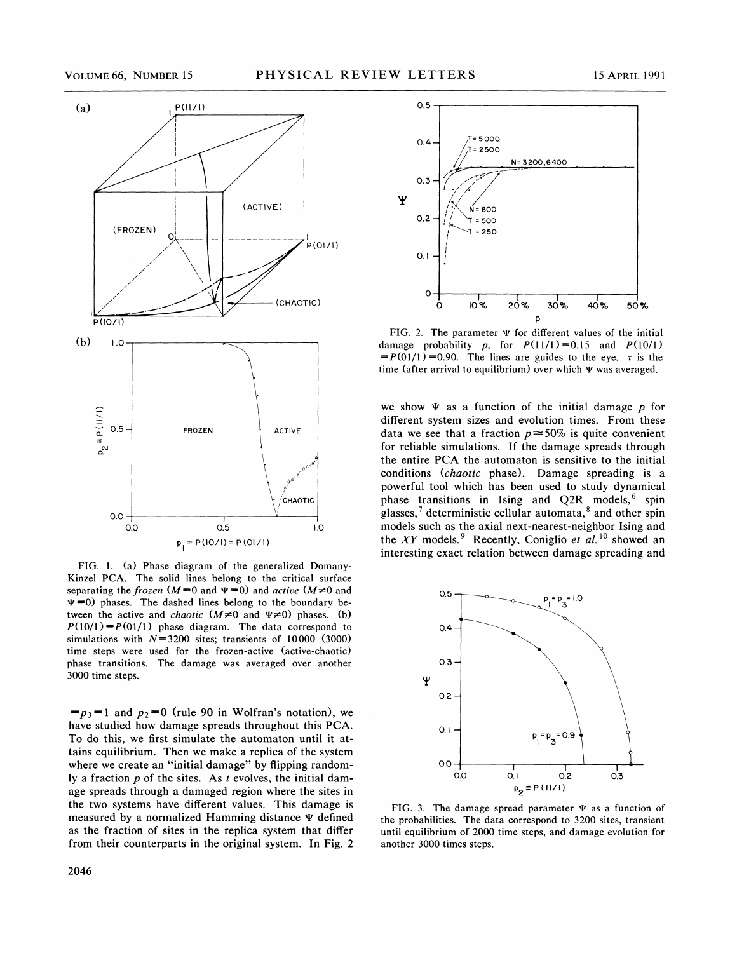

FIG. l. (a) Phase diagram of the generalized Domany-Kinzel PCA. The solid lines belong to the critical surface separating the frozen  $(M=0$  and  $\Psi=0$ ) and active  $(M\neq 0$  and  $\Psi$  =0) phases. The dashed lines belong to the boundary between the active and *chaotic*  $(M \neq 0$  and  $\Psi \neq 0)$  phases. (b)  $P(10/1) = P(01/1)$  phase diagram. The data correspond to simulations with  $N=3200$  sites; transients of 10000 (3000) time steps were used for the frozen-active (active-chaotic) phase transitions. The damage was averaged over another 3000 time steps.

 $=p_3=1$  and  $p_2=0$  (rule 90 in Wolfran's notation), we have studied how damage spreads throughout this PCA. To do this, we first simulate the automaton until it attains equilibrium. Then we make a replica of the system where we create an "initial damage" by flipping randomly a fraction  $p$  of the sites. As  $t$  evolves, the initial damage spreads through a damaged region where the sites in the two systems have different values. This damage is measured by a normalized Hamming distance  $\Psi$  defined as the fraction of sites in the replica system that differ from their counterparts in the original system. In Fig. 2



FIG. 2. The parameter  $\Psi$  for different values of the initial damage probability p, for  $P(11/1) = 0.15$  and  $P(10/1)$  $= P(01/1) = 0.90$ . The lines are guides to the eye.  $\tau$  is the time (after arrival to equilibrium) over which  $\Psi$  was averaged.

we show  $\Psi$  as a function of the initial damage p for different system sizes and evolution times. From these data we see that a fraction  $p \approx 50\%$  is quite convenient for reliable simulations. If the damage spreads through the entire PCA the automaton is sensitive to the initial conditions (chaotic phase). Damage spreading is a powerful tool which has been used to study dynamical phase transitions in Ising and  $Q2R$  models, <sup>6</sup> spin glasses,<sup>7</sup> deterministic cellular automata, $8$  and other spin models such as the axial next-nearest-neighbor Ising and the XY models.<sup>9</sup> Recently, Coniglio et al.<sup>10</sup> showed an interesting exact relation between damage spreading and



FIG. 3. The damage spread parameter  $\Psi$  as a function of the probabilities. The data correspond to 3200 sites, transient until equilibrium of 2000 time steps, and damage evolution for another 3000 times steps.